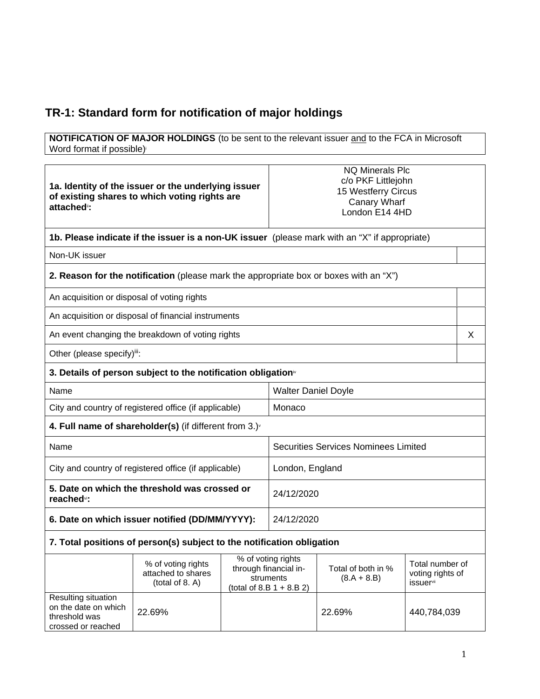## **TR-1: Standard form for notification of major holdings**

 $\mathbf{r}$ 

**NOTIFICATION OF MAJOR HOLDINGS** (to be sent to the relevant issuer and to the FCA in Microsoft Word format if possible)

| 1a. Identity of the issuer or the underlying issuer<br>of existing shares to which voting rights are<br>attached <sup>®</sup> :<br>1b. Please indicate if the issuer is a non-UK issuer (please mark with an "X" if appropriate) |                                                                                       |            | <b>NQ Minerals Plc</b><br>c/o PKF Littlejohn<br>15 Westferry Circus<br>Canary Wharf<br>London E14 4HD |                                             |                                                  |   |
|----------------------------------------------------------------------------------------------------------------------------------------------------------------------------------------------------------------------------------|---------------------------------------------------------------------------------------|------------|-------------------------------------------------------------------------------------------------------|---------------------------------------------|--------------------------------------------------|---|
|                                                                                                                                                                                                                                  |                                                                                       |            |                                                                                                       |                                             |                                                  |   |
| Non-UK issuer                                                                                                                                                                                                                    |                                                                                       |            |                                                                                                       |                                             |                                                  |   |
|                                                                                                                                                                                                                                  | 2. Reason for the notification (please mark the appropriate box or boxes with an "X") |            |                                                                                                       |                                             |                                                  |   |
| An acquisition or disposal of voting rights                                                                                                                                                                                      |                                                                                       |            |                                                                                                       |                                             |                                                  |   |
|                                                                                                                                                                                                                                  | An acquisition or disposal of financial instruments                                   |            |                                                                                                       |                                             |                                                  |   |
|                                                                                                                                                                                                                                  | An event changing the breakdown of voting rights                                      |            |                                                                                                       |                                             |                                                  | X |
| Other (please specify)iii:                                                                                                                                                                                                       |                                                                                       |            |                                                                                                       |                                             |                                                  |   |
| 3. Details of person subject to the notification obligation <sup>®</sup>                                                                                                                                                         |                                                                                       |            |                                                                                                       |                                             |                                                  |   |
| Name                                                                                                                                                                                                                             |                                                                                       |            | <b>Walter Daniel Doyle</b>                                                                            |                                             |                                                  |   |
| City and country of registered office (if applicable)                                                                                                                                                                            |                                                                                       |            | Monaco                                                                                                |                                             |                                                  |   |
| 4. Full name of shareholder(s) (if different from 3.) $\check{ }$                                                                                                                                                                |                                                                                       |            |                                                                                                       |                                             |                                                  |   |
| Name                                                                                                                                                                                                                             |                                                                                       |            |                                                                                                       | <b>Securities Services Nominees Limited</b> |                                                  |   |
| City and country of registered office (if applicable)                                                                                                                                                                            |                                                                                       |            | London, England                                                                                       |                                             |                                                  |   |
| 5. Date on which the threshold was crossed or<br>reached <sup>vi</sup> :                                                                                                                                                         |                                                                                       |            | 24/12/2020                                                                                            |                                             |                                                  |   |
| 6. Date on which issuer notified (DD/MM/YYYY):                                                                                                                                                                                   |                                                                                       | 24/12/2020 |                                                                                                       |                                             |                                                  |   |
| 7. Total positions of person(s) subject to the notification obligation                                                                                                                                                           |                                                                                       |            |                                                                                                       |                                             |                                                  |   |
|                                                                                                                                                                                                                                  | % of voting rights<br>attached to shares<br>(total of 8. A)                           |            | % of voting rights<br>through financial in-<br>struments<br>(total of 8.B $1 + 8.B 2$ )               | Total of both in %<br>$(8.A + 8.B)$         | Total number of<br>voting rights of<br>issuervii |   |
| Resulting situation<br>on the date on which<br>threshold was<br>crossed or reached                                                                                                                                               | 22.69%                                                                                |            |                                                                                                       | 22.69%                                      | 440,784,039                                      |   |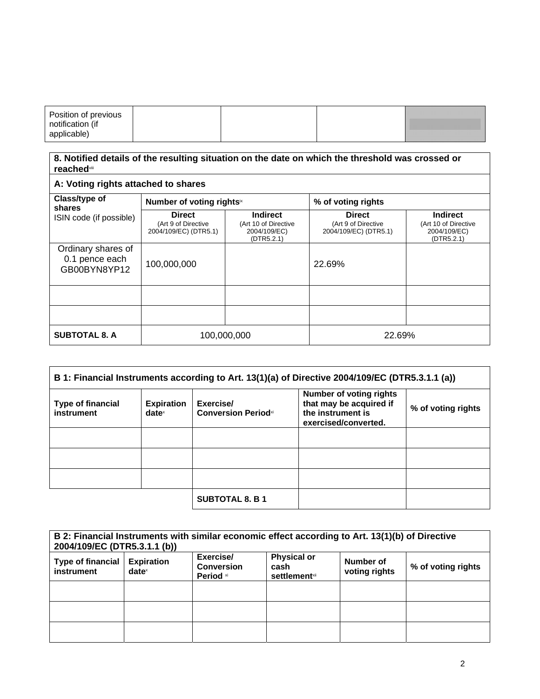| Position of previous |  |  |
|----------------------|--|--|
| notification (if     |  |  |
| applicable)          |  |  |

#### **8. Notified details of the resulting situation on the date on which the threshold was crossed or reached**viii

### **A: Voting rights attached to shares**

| Class/type of<br>shares                              | Number of voting rights <sup>ix</sup>                         |                                                                       | % of voting rights                                            |                                                                       |
|------------------------------------------------------|---------------------------------------------------------------|-----------------------------------------------------------------------|---------------------------------------------------------------|-----------------------------------------------------------------------|
| ISIN code (if possible)                              | <b>Direct</b><br>(Art 9 of Directive<br>2004/109/EC) (DTR5.1) | <b>Indirect</b><br>(Art 10 of Directive<br>2004/109/EC)<br>(DTR5.2.1) | <b>Direct</b><br>(Art 9 of Directive<br>2004/109/EC) (DTR5.1) | <b>Indirect</b><br>(Art 10 of Directive<br>2004/109/EC)<br>(DTR5.2.1) |
| Ordinary shares of<br>0.1 pence each<br>GB00BYN8YP12 | 100,000,000                                                   |                                                                       | 22.69%                                                        |                                                                       |
|                                                      |                                                               |                                                                       |                                                               |                                                                       |
|                                                      |                                                               |                                                                       |                                                               |                                                                       |
| <b>SUBTOTAL 8. A</b>                                 | 100,000,000                                                   |                                                                       | 22.69%                                                        |                                                                       |

| B 1: Financial Instruments according to Art. 13(1)(a) of Directive 2004/109/EC (DTR5.3.1.1 (a)) |                                        |                                                     |                                                                                                        |                    |
|-------------------------------------------------------------------------------------------------|----------------------------------------|-----------------------------------------------------|--------------------------------------------------------------------------------------------------------|--------------------|
| <b>Type of financial</b><br>instrument                                                          | <b>Expiration</b><br>date <sup>x</sup> | Exercise/<br><b>Conversion Period</b> <sup>xi</sup> | <b>Number of voting rights</b><br>that may be acquired if<br>the instrument is<br>exercised/converted. | % of voting rights |
|                                                                                                 |                                        |                                                     |                                                                                                        |                    |
|                                                                                                 |                                        |                                                     |                                                                                                        |                    |
|                                                                                                 |                                        |                                                     |                                                                                                        |                    |
|                                                                                                 |                                        | <b>SUBTOTAL 8. B 1</b>                              |                                                                                                        |                    |

| B 2: Financial Instruments with similar economic effect according to Art. 13(1)(b) of Directive<br>2004/109/EC (DTR5.3.1.1 (b)) |                                                        |                                                    |                                                     |                            |                    |
|---------------------------------------------------------------------------------------------------------------------------------|--------------------------------------------------------|----------------------------------------------------|-----------------------------------------------------|----------------------------|--------------------|
| Type of financial<br><b>instrument</b>                                                                                          | <b>Expiration</b><br>$date^{\scriptscriptstyle\times}$ | Exercise/<br><b>Conversion</b><br><b>Period xi</b> | <b>Physical or</b><br>cash<br><b>settlement</b> xii | Number of<br>voting rights | % of voting rights |
|                                                                                                                                 |                                                        |                                                    |                                                     |                            |                    |
|                                                                                                                                 |                                                        |                                                    |                                                     |                            |                    |
|                                                                                                                                 |                                                        |                                                    |                                                     |                            |                    |